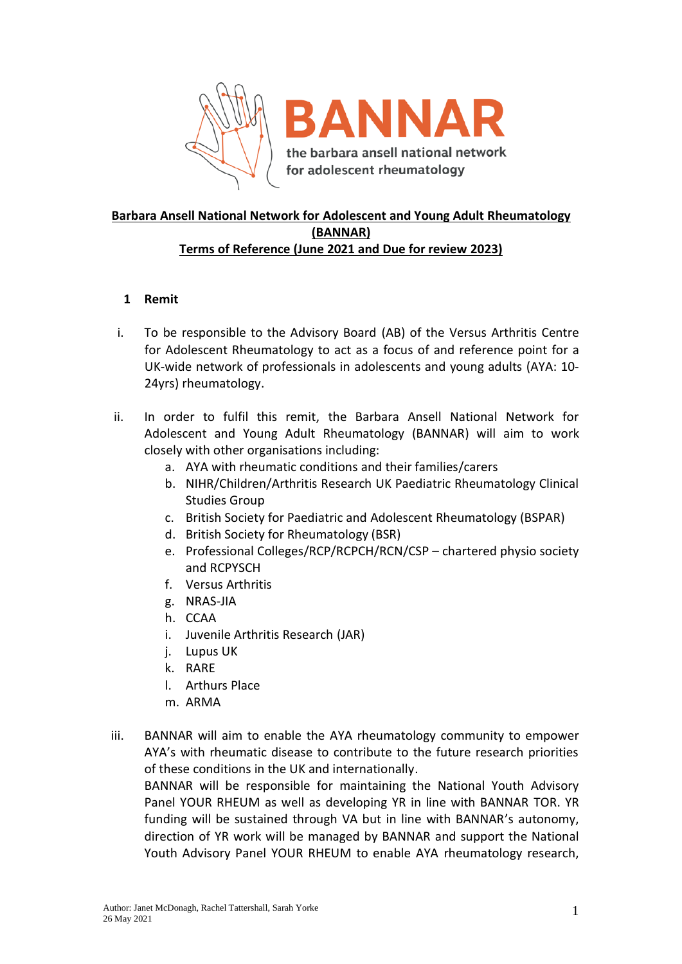

# **Barbara Ansell National Network for Adolescent and Young Adult Rheumatology (BANNAR) Terms of Reference (June 2021 and Due for review 2023)**

# **1 Remit**

- i. To be responsible to the Advisory Board (AB) of the Versus Arthritis Centre for Adolescent Rheumatology to act as a focus of and reference point for a UK-wide network of professionals in adolescents and young adults (AYA: 10- 24yrs) rheumatology.
- ii. In order to fulfil this remit, the Barbara Ansell National Network for Adolescent and Young Adult Rheumatology (BANNAR) will aim to work closely with other organisations including:
	- a. AYA with rheumatic conditions and their families/carers
	- b. NIHR/Children/Arthritis Research UK Paediatric Rheumatology Clinical Studies Group
	- c. British Society for Paediatric and Adolescent Rheumatology (BSPAR)
	- d. British Society for Rheumatology (BSR)
	- e. Professional Colleges/RCP/RCPCH/RCN/CSP chartered physio society and RCPYSCH
	- f. Versus Arthritis
	- g. NRAS-JIA
	- h. CCAA
	- i. Juvenile Arthritis Research (JAR)
	- j. Lupus UK
	- k. RARE
	- l. Arthurs Place
	- m. ARMA
- iii. BANNAR will aim to enable the AYA rheumatology community to empower AYA's with rheumatic disease to contribute to the future research priorities of these conditions in the UK and internationally.

BANNAR will be responsible for maintaining the National Youth Advisory Panel YOUR RHEUM as well as developing YR in line with BANNAR TOR. YR funding will be sustained through VA but in line with BANNAR's autonomy, direction of YR work will be managed by BANNAR and support the National Youth Advisory Panel YOUR RHEUM to enable AYA rheumatology research,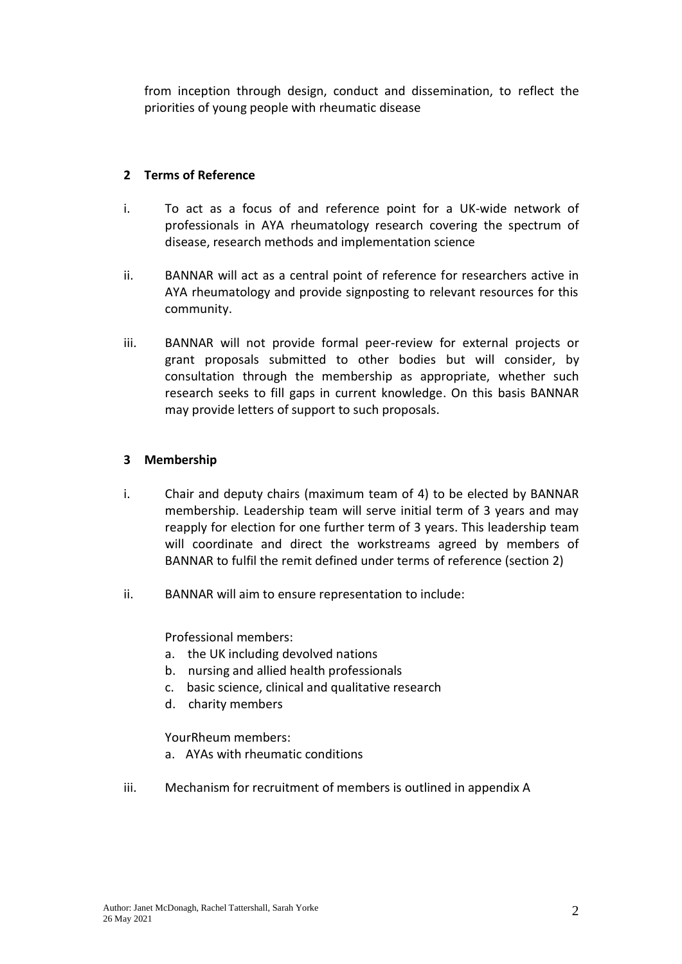from inception through design, conduct and dissemination, to reflect the priorities of young people with rheumatic disease

# **2 Terms of Reference**

- i. To act as a focus of and reference point for a UK-wide network of professionals in AYA rheumatology research covering the spectrum of disease, research methods and implementation science
- ii. BANNAR will act as a central point of reference for researchers active in AYA rheumatology and provide signposting to relevant resources for this community.
- iii. BANNAR will not provide formal peer-review for external projects or grant proposals submitted to other bodies but will consider, by consultation through the membership as appropriate, whether such research seeks to fill gaps in current knowledge. On this basis BANNAR may provide letters of support to such proposals.

## **3 Membership**

- i. Chair and deputy chairs (maximum team of 4) to be elected by BANNAR membership. Leadership team will serve initial term of 3 years and may reapply for election for one further term of 3 years. This leadership team will coordinate and direct the workstreams agreed by members of BANNAR to fulfil the remit defined under terms of reference (section 2)
- ii. BANNAR will aim to ensure representation to include:

Professional members:

- a. the UK including devolved nations
- b. nursing and allied health professionals
- c. basic science, clinical and qualitative research
- d. charity members

YourRheum members:

- a. AYAs with rheumatic conditions
- iii. Mechanism for recruitment of members is outlined in appendix A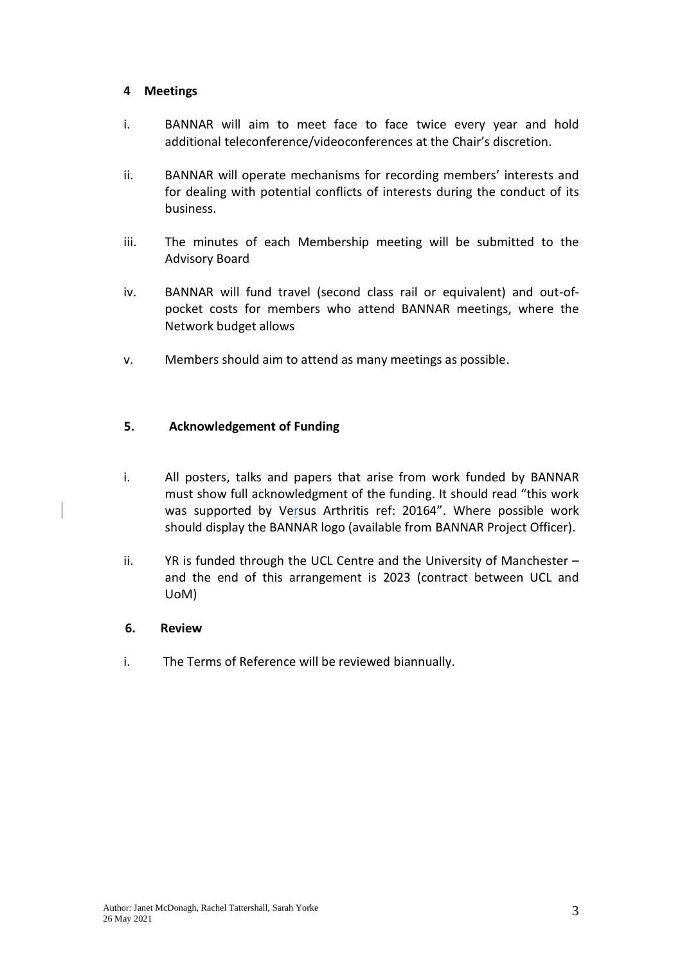### **4 Meetings**

- i. BANNAR will aim to meet face to face twice every year and hold additional teleconference/videoconferences at the Chair's discretion.
- ii. BANNAR will operate mechanisms for recording members' interests and for dealing with potential conflicts of interests during the conduct of its business.
- iii. The minutes of each Membership meeting will be submitted to the Advisory Board
- iv. BANNAR will fund travel (second class rail or equivalent) and out-ofpocket costs for members who attend BANNAR meetings, where the Network budget allows
- v. Members should aim to attend as many meetings as possible.

## **5. Acknowledgement of Funding**

- i. All posters, talks and papers that arise from work funded by BANNAR must show full acknowledgment of the funding. It should read "this work was supported by Versus Arthritis ref: 20164". Where possible work should display the BANNAR logo (available from BANNAR Project Officer).
- ii. YR is funded through the UCL Centre and the University of Manchester and the end of this arrangement is 2023 (contract between UCL and UoM)
- **6. Review**
- i. The Terms of Reference will be reviewed biannually.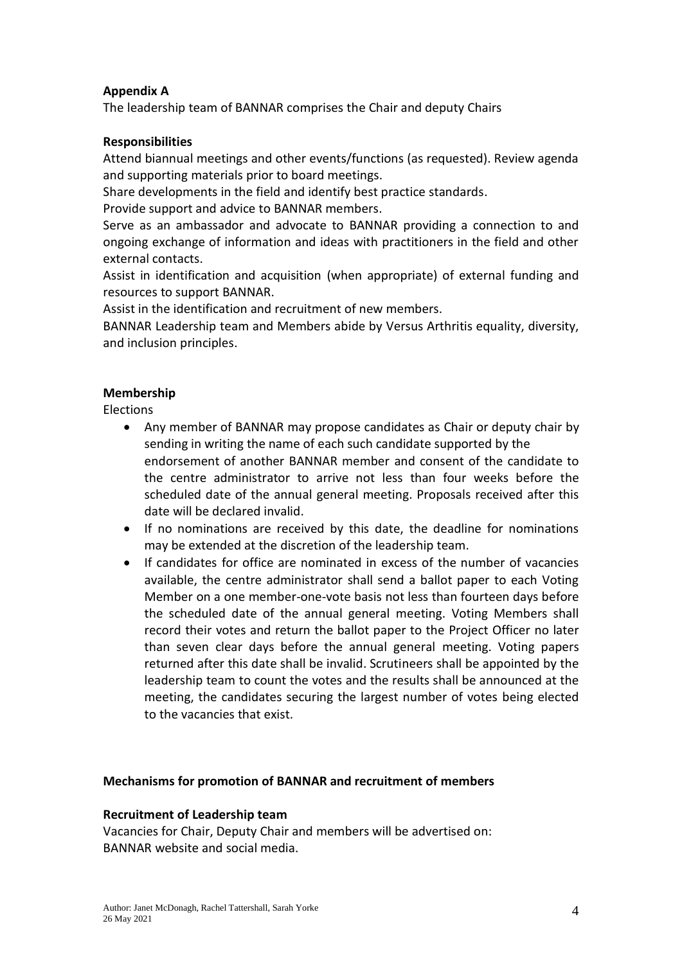# **Appendix A**

The leadership team of BANNAR comprises the Chair and deputy Chairs

### **Responsibilities**

Attend biannual meetings and other events/functions (as requested). Review agenda and supporting materials prior to board meetings.

Share developments in the field and identify best practice standards.

Provide support and advice to BANNAR members.

Serve as an ambassador and advocate to BANNAR providing a connection to and ongoing exchange of information and ideas with practitioners in the field and other external contacts.

Assist in identification and acquisition (when appropriate) of external funding and resources to support BANNAR.

Assist in the identification and recruitment of new members.

BANNAR Leadership team and Members abide by Versus Arthritis equality, diversity, and inclusion principles.

## **Membership**

Elections

- Any member of BANNAR may propose candidates as Chair or deputy chair by sending in writing the name of each such candidate supported by the endorsement of another BANNAR member and consent of the candidate to the centre administrator to arrive not less than four weeks before the scheduled date of the annual general meeting. Proposals received after this date will be declared invalid.
- If no nominations are received by this date, the deadline for nominations may be extended at the discretion of the leadership team.
- If candidates for office are nominated in excess of the number of vacancies available, the centre administrator shall send a ballot paper to each Voting Member on a one member-one-vote basis not less than fourteen days before the scheduled date of the annual general meeting. Voting Members shall record their votes and return the ballot paper to the Project Officer no later than seven clear days before the annual general meeting. Voting papers returned after this date shall be invalid. Scrutineers shall be appointed by the leadership team to count the votes and the results shall be announced at the meeting, the candidates securing the largest number of votes being elected to the vacancies that exist.

### **Mechanisms for promotion of BANNAR and recruitment of members**

### **Recruitment of Leadership team**

Vacancies for Chair, Deputy Chair and members will be advertised on: BANNAR website and social media.